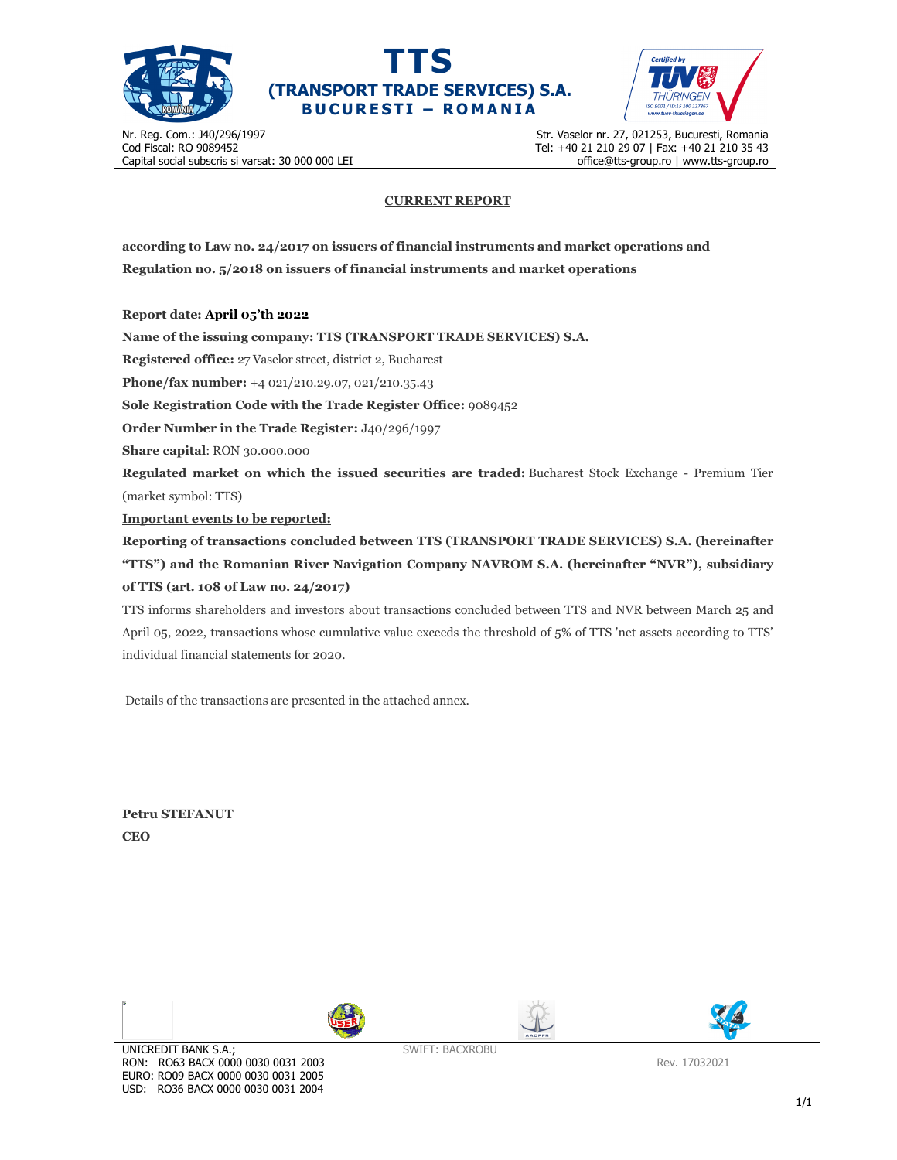





Nr. Reg. Com.: J40/296/1997 Cod Fiscal: RO 9089452 Capital social subscris si varsat: 30 000 000 LEI Str. Vaselor nr. 27, 021253, Bucuresti, Romania Tel: +40 21 210 29 07 | Fax: +40 21 210 35 43 office@tts-group.ro | www.tts-group.ro

## **CURRENT REPORT**

**according to Law no. 24/2017 on issuers of financial instruments and market operations and Regulation no. 5/2018 on issuers of financial instruments and market operations** 

**Report date: April 05'th 2022**

**Name of the issuing company: TTS (TRANSPORT TRADE SERVICES) S.A.**

**Registered office:** 27 Vaselor street, district 2, Bucharest

**Phone/fax number:** +4 021/210.29.07, 021/210.35.43

**Sole Registration Code with the Trade Register Office:** 9089452

**Order Number in the Trade Register:** J40/296/1997

**Share capital**: RON 30.000.000

**Regulated market on which the issued securities are traded:** Bucharest Stock Exchange - Premium Tier (market symbol: TTS)

**Important events to be reported:**

**Reporting of transactions concluded between TTS (TRANSPORT TRADE SERVICES) S.A. (hereinafter "TTS") and the Romanian River Navigation Company NAVROM S.A. (hereinafter "NVR"), subsidiary of TTS (art. 108 of Law no. 24/2017)** 

TTS informs shareholders and investors about transactions concluded between TTS and NVR between March 25 and April 05, 2022, transactions whose cumulative value exceeds the threshold of 5% of TTS 'net assets according to TTS' individual financial statements for 2020.

Details of the transactions are presented in the attached annex.

**Petru STEFANUT CEO** 

 $\overline{\phantom{a}}$ 







Rev. 17032021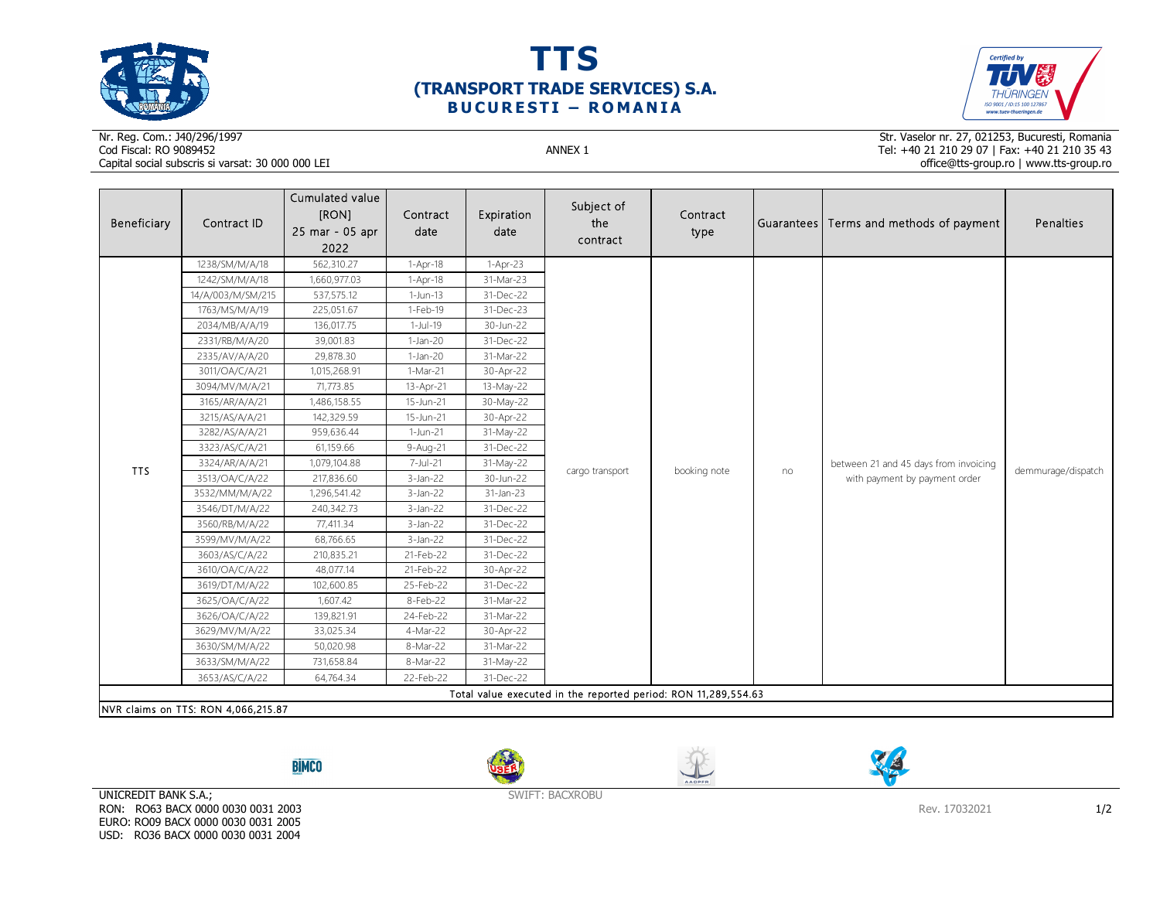





## Nr. Reg. Com.: J40/296/1997Cod Fiscal: RO 9089452 ANNEX 1 Capital social subscris si varsat: 30 000 000 LEI

Str. Vaselor nr. 27, 021253, Bucuresti, Romania Tel: +40 21 210 29 07 | Fax: +40 21 210 35 43 office@tts-group.ro | www.tts-group.ro

| Beneficiary                                                    | Contract ID                         | Cumulated value<br>[RON]<br>25 mar - 05 apr<br>2022 | Contract<br>date | Expiration<br>date | Subject of<br>the<br>contract | Contract<br>type |    | Guarantees   Terms and methods of payment                              | Penalties          |  |
|----------------------------------------------------------------|-------------------------------------|-----------------------------------------------------|------------------|--------------------|-------------------------------|------------------|----|------------------------------------------------------------------------|--------------------|--|
|                                                                | 1238/SM/M/A/18                      | 562,310.27                                          | $1-Apr-18$       | 1-Apr-23           |                               |                  | no | between 21 and 45 days from invoicing<br>with payment by payment order | demmurage/dispatch |  |
|                                                                | 1242/SM/M/A/18                      | 1,660,977.03                                        | $1-Apr-18$       | 31-Mar-23          |                               |                  |    |                                                                        |                    |  |
|                                                                | 14/A/003/M/SM/215                   | 537,575.12                                          | $1-Jun-13$       | 31-Dec-22          |                               |                  |    |                                                                        |                    |  |
|                                                                | 1763/MS/M/A/19                      | 225,051.67                                          | 1-Feb-19         | 31-Dec-23          |                               |                  |    |                                                                        |                    |  |
|                                                                | 2034/MB/A/A/19                      | 136,017.75                                          | $1-Jul-19$       | 30-Jun-22          |                               |                  |    |                                                                        |                    |  |
|                                                                | 2331/RB/M/A/20                      | 39,001.83                                           | $1-Jan-20$       | 31-Dec-22          |                               |                  |    |                                                                        |                    |  |
|                                                                | 2335/AV/A/A/20                      | 29,878.30                                           | $1-Jan-20$       | 31-Mar-22          |                               |                  |    |                                                                        |                    |  |
|                                                                | 3011/OA/C/A/21                      | 1,015,268.91                                        | 1-Mar-21         | 30-Apr-22          |                               |                  |    |                                                                        |                    |  |
|                                                                | 3094/MV/M/A/21                      | 71,773.85                                           | 13-Apr-21        | 13-May-22          |                               |                  |    |                                                                        |                    |  |
|                                                                | 3165/AR/A/A/21                      | 1,486,158.55                                        | 15-Jun-21        | 30-May-22          |                               |                  |    |                                                                        |                    |  |
|                                                                | 3215/AS/A/A/21                      | 142,329.59                                          | 15-Jun-21        | 30-Apr-22          |                               |                  |    |                                                                        |                    |  |
|                                                                | 3282/AS/A/A/21                      | 959,636.44                                          | 1-Jun-21         | 31-May-22          | cargo transport               |                  |    |                                                                        |                    |  |
|                                                                | 3323/AS/C/A/21                      | 61,159.66                                           | 9-Aug-21         | 31-Dec-22          |                               | booking note     |    |                                                                        |                    |  |
| <b>TTS</b>                                                     | 3324/AR/A/A/21                      | 1,079,104.88                                        | 7-Jul-21         | 31-May-22          |                               |                  |    |                                                                        |                    |  |
|                                                                | 3513/OA/C/A/22                      | 217,836.60                                          | $3-Jan-22$       | 30-Jun-22          |                               |                  |    |                                                                        |                    |  |
|                                                                | 3532/MM/M/A/22                      | 1,296,541.42                                        | $3-Jan-22$       | 31-Jan-23          |                               |                  |    |                                                                        |                    |  |
|                                                                | 3546/DT/M/A/22                      | 240,342.73                                          | $3-Jan-22$       | 31-Dec-22          |                               |                  |    |                                                                        |                    |  |
|                                                                | 3560/RB/M/A/22                      | 77,411.34                                           | $3-Jan-22$       | 31-Dec-22          |                               |                  |    |                                                                        |                    |  |
|                                                                | 3599/MV/M/A/22                      | 68,766.65                                           | $3-Jan-22$       | 31-Dec-22          |                               |                  |    |                                                                        |                    |  |
|                                                                | 3603/AS/C/A/22                      | 210,835.21                                          | 21-Feb-22        | 31-Dec-22          |                               |                  |    |                                                                        |                    |  |
|                                                                | 3610/OA/C/A/22                      | 48,077.14                                           | 21-Feb-22        | 30-Apr-22          |                               |                  |    |                                                                        |                    |  |
|                                                                | 3619/DT/M/A/22                      | 102,600.85                                          | 25-Feb-22        | 31-Dec-22          |                               |                  |    |                                                                        |                    |  |
|                                                                | 3625/OA/C/A/22                      | 1,607.42                                            | 8-Feb-22         | 31-Mar-22          |                               |                  |    |                                                                        |                    |  |
|                                                                | 3626/OA/C/A/22                      | 139,821.91                                          | 24-Feb-22        | 31-Mar-22          |                               |                  |    |                                                                        |                    |  |
|                                                                | 3629/MV/M/A/22                      | 33,025.34                                           | 4-Mar-22         | 30-Apr-22          |                               |                  |    |                                                                        |                    |  |
|                                                                | 3630/SM/M/A/22                      | 50,020.98                                           | 8-Mar-22         | 31-Mar-22          |                               |                  |    |                                                                        |                    |  |
|                                                                | 3633/SM/M/A/22                      | 731,658.84                                          | 8-Mar-22         | 31-May-22          |                               |                  |    |                                                                        |                    |  |
|                                                                | 3653/AS/C/A/22                      | 64,764.34                                           | 22-Feb-22        | 31-Dec-22          |                               |                  |    |                                                                        |                    |  |
| Total value executed in the reported period: RON 11,289,554.63 |                                     |                                                     |                  |                    |                               |                  |    |                                                                        |                    |  |
|                                                                | NVR claims on TTS: RON 4,066,215.87 |                                                     |                  |                    |                               |                  |    |                                                                        |                    |  |

**BIMCO** 







UNICREDIT BANK S.A.; RON: RO63 BACX 0000 0030 0031 2003 EURO: RO09 BACX 0000 0030 0031 2005 USD: RO36 BACX 0000 0030 0031 2004

SWIFT: BACXROBU

Rev. 17032021 1/2